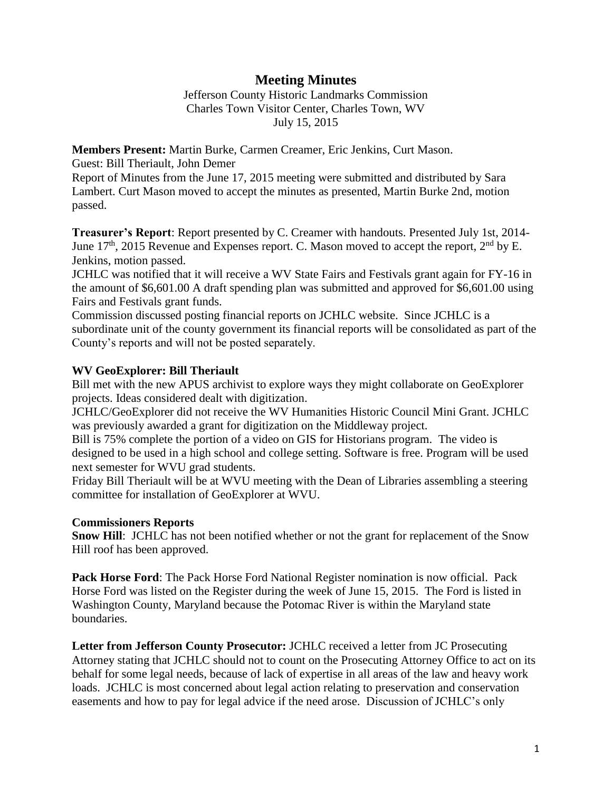## **Meeting Minutes**

Jefferson County Historic Landmarks Commission Charles Town Visitor Center, Charles Town, WV July 15, 2015

**Members Present:** Martin Burke, Carmen Creamer, Eric Jenkins, Curt Mason.

Guest: Bill Theriault, John Demer

Report of Minutes from the June 17, 2015 meeting were submitted and distributed by Sara Lambert. Curt Mason moved to accept the minutes as presented, Martin Burke 2nd, motion passed.

**Treasurer's Report**: Report presented by C. Creamer with handouts. Presented July 1st, 2014- June  $17<sup>th</sup>$ , 2015 Revenue and Expenses report. C. Mason moved to accept the report,  $2<sup>nd</sup>$  by E. Jenkins, motion passed.

JCHLC was notified that it will receive a WV State Fairs and Festivals grant again for FY-16 in the amount of \$6,601.00 A draft spending plan was submitted and approved for \$6,601.00 using Fairs and Festivals grant funds.

Commission discussed posting financial reports on JCHLC website. Since JCHLC is a subordinate unit of the county government its financial reports will be consolidated as part of the County's reports and will not be posted separately.

## **WV GeoExplorer: Bill Theriault**

Bill met with the new APUS archivist to explore ways they might collaborate on GeoExplorer projects. Ideas considered dealt with digitization.

JCHLC/GeoExplorer did not receive the WV Humanities Historic Council Mini Grant. JCHLC was previously awarded a grant for digitization on the Middleway project.

Bill is 75% complete the portion of a video on GIS for Historians program. The video is designed to be used in a high school and college setting. Software is free. Program will be used next semester for WVU grad students.

Friday Bill Theriault will be at WVU meeting with the Dean of Libraries assembling a steering committee for installation of GeoExplorer at WVU.

## **Commissioners Reports**

**Snow Hill**: JCHLC has not been notified whether or not the grant for replacement of the Snow Hill roof has been approved.

**Pack Horse Ford**: The Pack Horse Ford National Register nomination is now official. Pack Horse Ford was listed on the Register during the week of June 15, 2015. The Ford is listed in Washington County, Maryland because the Potomac River is within the Maryland state boundaries.

**Letter from Jefferson County Prosecutor:** JCHLC received a letter from JC Prosecuting Attorney stating that JCHLC should not to count on the Prosecuting Attorney Office to act on its behalf for some legal needs, because of lack of expertise in all areas of the law and heavy work loads. JCHLC is most concerned about legal action relating to preservation and conservation easements and how to pay for legal advice if the need arose. Discussion of JCHLC's only